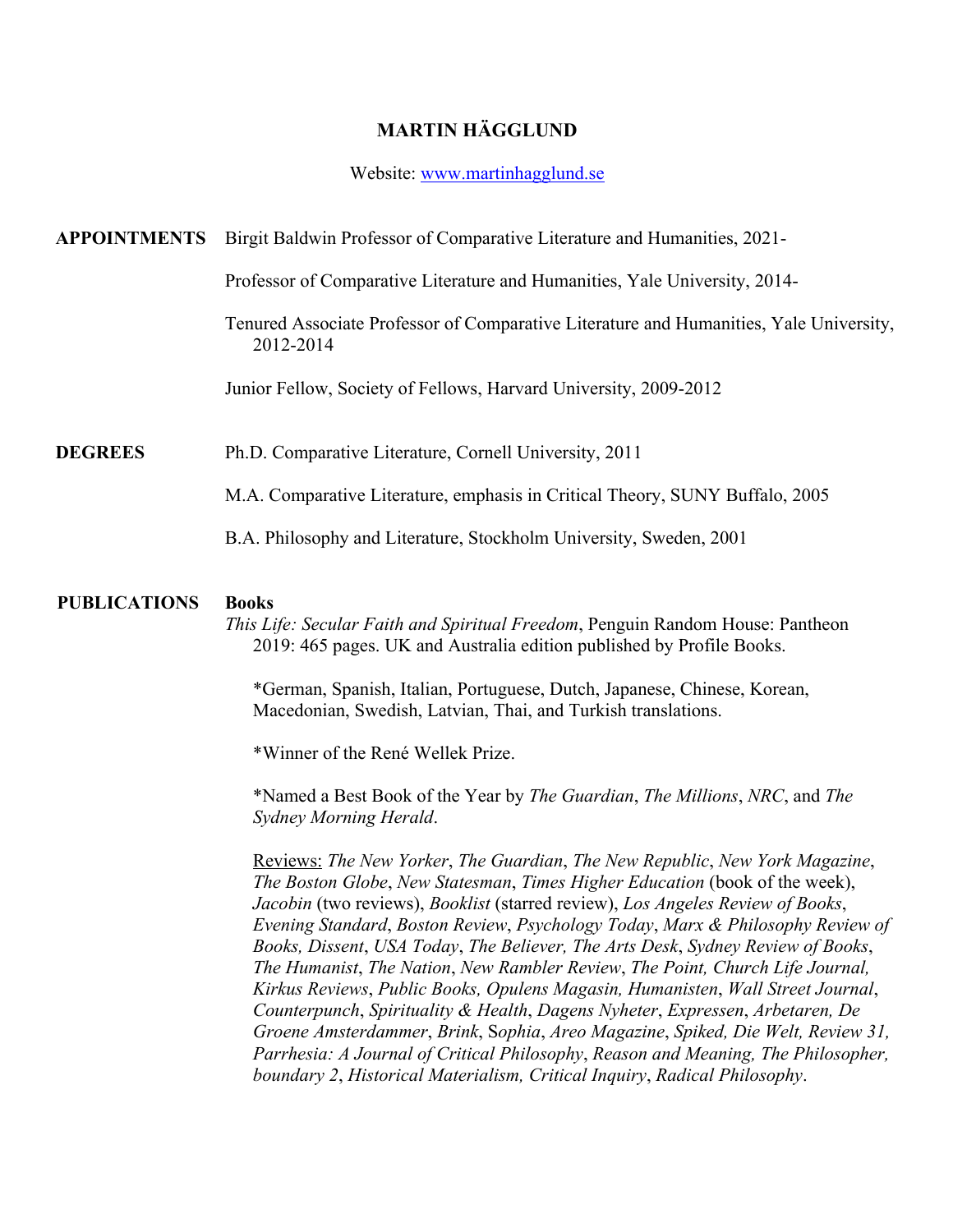# **MARTIN HÄGGLUND**

### Website: www.martinhagglund.se

## **APPOINTMENTS** Birgit Baldwin Professor of Comparative Literature and Humanities, 2021-

Professor of Comparative Literature and Humanities, Yale University, 2014-

Tenured Associate Professor of Comparative Literature and Humanities, Yale University, 2012-2014

Junior Fellow, Society of Fellows, Harvard University, 2009-2012

### **DEGREES** Ph.D. Comparative Literature, Cornell University, 2011

M.A. Comparative Literature, emphasis in Critical Theory, SUNY Buffalo, 2005

B.A. Philosophy and Literature, Stockholm University, Sweden, 2001

#### **PUBLICATIONS Books**

*This Life: Secular Faith and Spiritual Freedom*, Penguin Random House: Pantheon 2019: 465 pages. UK and Australia edition published by Profile Books.

\*German, Spanish, Italian, Portuguese, Dutch, Japanese, Chinese, Korean, Macedonian, Swedish, Latvian, Thai, and Turkish translations.

\*Winner of the René Wellek Prize.

\*Named a Best Book of the Year by *The Guardian*, *The Millions*, *NRC*, and *The Sydney Morning Herald*.

Reviews: *The New Yorker*, *The Guardian*, *The New Republic*, *New York Magazine*, *The Boston Globe*, *New Statesman*, *Times Higher Education* (book of the week), *Jacobin* (two reviews), *Booklist* (starred review), *Los Angeles Review of Books*, *Evening Standard*, *Boston Review*, *Psychology Today*, *Marx & Philosophy Review of Books, Dissent*, *USA Today*, *The Believer, The Arts Desk*, *Sydney Review of Books*, *The Humanist*, *The Nation*, *New Rambler Review*, *The Point, Church Life Journal, Kirkus Reviews*, *Public Books, Opulens Magasin, Humanisten*, *Wall Street Journal*, *Counterpunch*, *Spirituality & Health*, *Dagens Nyheter*, *Expressen*, *Arbetaren, De Groene Amsterdammer*, *Brink*, S*ophia*, *Areo Magazine*, *Spiked, Die Welt, Review 31, Parrhesia: A Journal of Critical Philosophy*, *Reason and Meaning, The Philosopher, boundary 2*, *Historical Materialism, Critical Inquiry*, *Radical Philosophy*.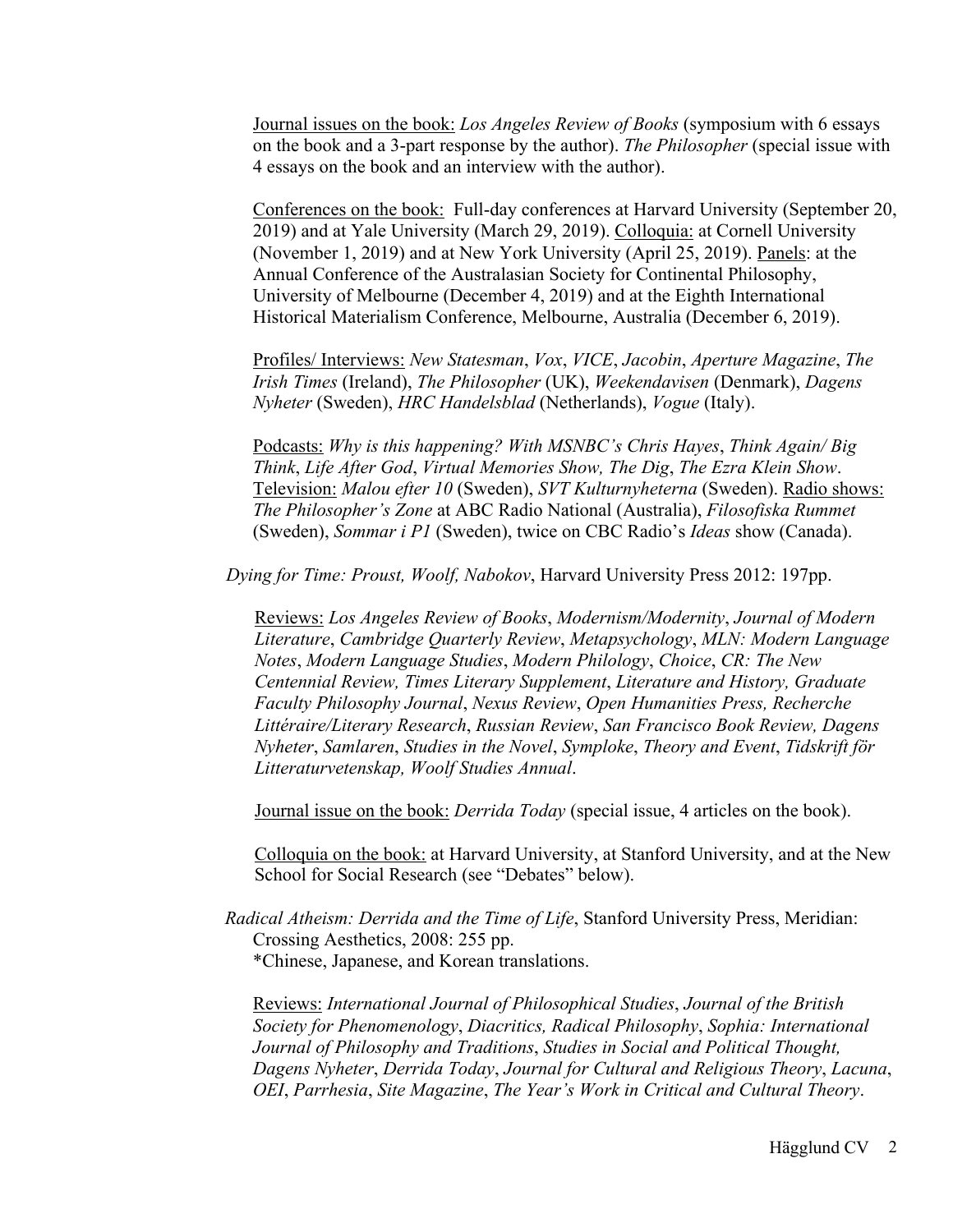Journal issues on the book: *Los Angeles Review of Books* (symposium with 6 essays on the book and a 3-part response by the author). *The Philosopher* (special issue with 4 essays on the book and an interview with the author).

Conferences on the book: Full-day conferences at Harvard University (September 20, 2019) and at Yale University (March 29, 2019). Colloquia: at Cornell University (November 1, 2019) and at New York University (April 25, 2019). Panels: at the Annual Conference of the Australasian Society for Continental Philosophy, University of Melbourne (December 4, 2019) and at the Eighth International Historical Materialism Conference, Melbourne, Australia (December 6, 2019).

Profiles/ Interviews: *New Statesman*, *Vox*, *VICE*, *Jacobin*, *Aperture Magazine*, *The Irish Times* (Ireland), *The Philosopher* (UK), *Weekendavisen* (Denmark), *Dagens Nyheter* (Sweden), *HRC Handelsblad* (Netherlands), *Vogue* (Italy).

Podcasts: *Why is this happening? With MSNBC's Chris Hayes*, *Think Again/ Big Think*, *Life After God*, *Virtual Memories Show, The Dig*, *The Ezra Klein Show*. Television: *Malou efter 10* (Sweden), *SVT Kulturnyheterna* (Sweden). Radio shows: *The Philosopher's Zone* at ABC Radio National (Australia), *Filosofiska Rummet* (Sweden), *Sommar i P1* (Sweden), twice on CBC Radio's *Ideas* show (Canada).

*Dying for Time: Proust, Woolf, Nabokov*, Harvard University Press 2012: 197pp.

Reviews: *Los Angeles Review of Books*, *Modernism/Modernity*, *Journal of Modern Literature*, *Cambridge Quarterly Review*, *Metapsychology*, *MLN: Modern Language Notes*, *Modern Language Studies*, *Modern Philology*, *Choice*, *CR: The New Centennial Review, Times Literary Supplement*, *Literature and History, Graduate Faculty Philosophy Journal*, *Nexus Review*, *Open Humanities Press, Recherche Littéraire/Literary Research*, *Russian Review*, *San Francisco Book Review, Dagens Nyheter*, *Samlaren*, *Studies in the Novel*, *Symploke*, *Theory and Event*, *Tidskrift för Litteraturvetenskap, Woolf Studies Annual*.

Journal issue on the book: *Derrida Today* (special issue, 4 articles on the book).

Colloquia on the book: at Harvard University, at Stanford University, and at the New School for Social Research (see "Debates" below).

*Radical Atheism: Derrida and the Time of Life*, Stanford University Press, Meridian: Crossing Aesthetics, 2008: 255 pp. \*Chinese, Japanese, and Korean translations.

Reviews: *International Journal of Philosophical Studies*, *Journal of the British Society for Phenomenology*, *Diacritics, Radical Philosophy*, *Sophia: International Journal of Philosophy and Traditions*, *Studies in Social and Political Thought, Dagens Nyheter*, *Derrida Today*, *Journal for Cultural and Religious Theory*, *Lacuna*, *OEI*, *Parrhesia*, *Site Magazine*, *The Year's Work in Critical and Cultural Theory*.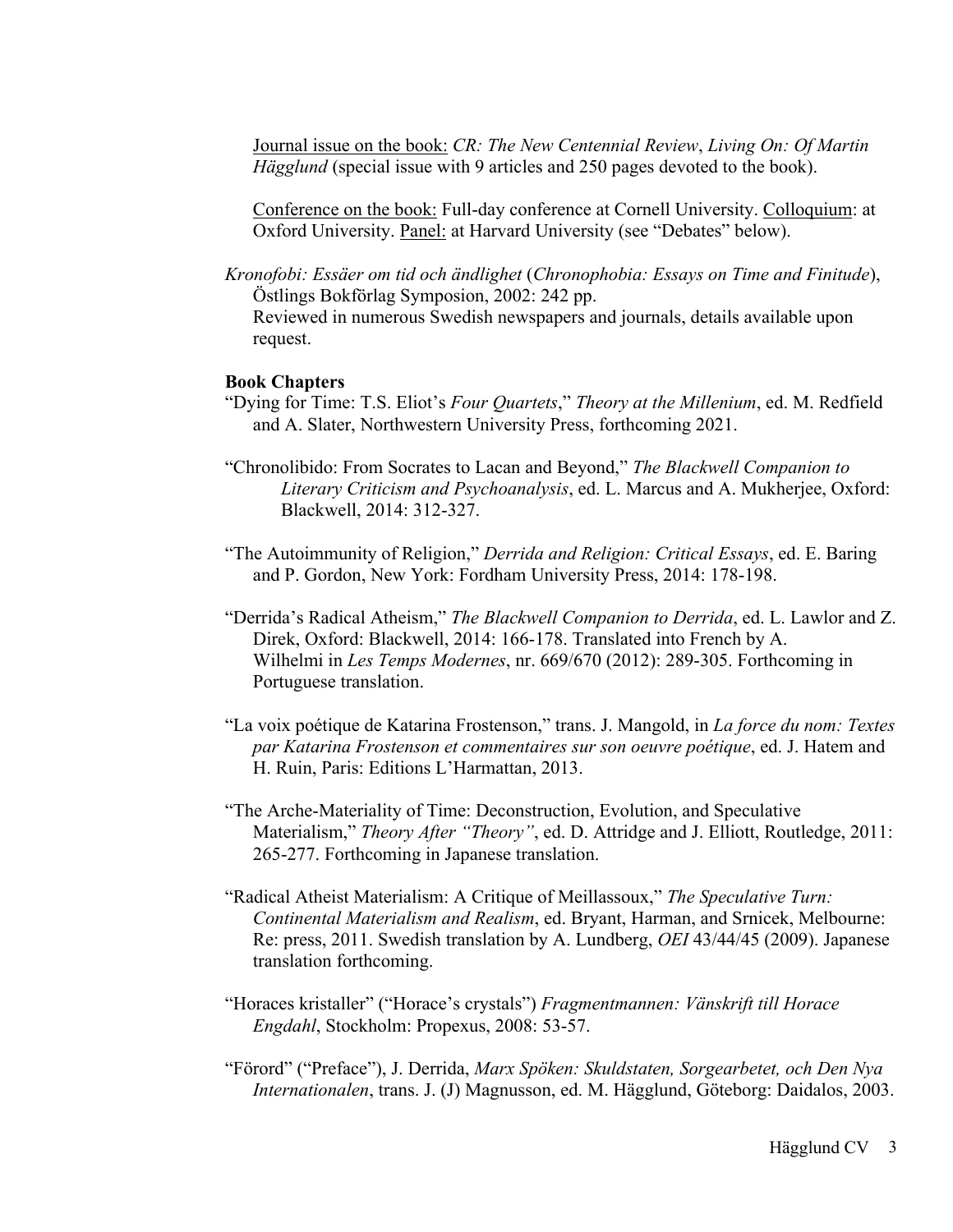Journal issue on the book: *CR: The New Centennial Review*, *Living On: Of Martin Hägglund* (special issue with 9 articles and 250 pages devoted to the book).

Conference on the book: Full-day conference at Cornell University. Colloquium: at Oxford University. Panel: at Harvard University (see "Debates" below).

*Kronofobi: Essäer om tid och ändlighet* (*Chronophobia: Essays on Time and Finitude*), Östlings Bokförlag Symposion, 2002: 242 pp. Reviewed in numerous Swedish newspapers and journals, details available upon request.

#### **Book Chapters**

- "Dying for Time: T.S. Eliot's *Four Quartets*," *Theory at the Millenium*, ed. M. Redfield and A. Slater, Northwestern University Press, forthcoming 2021.
- "Chronolibido: From Socrates to Lacan and Beyond," *The Blackwell Companion to Literary Criticism and Psychoanalysis*, ed. L. Marcus and A. Mukherjee, Oxford: Blackwell, 2014: 312-327.
- "The Autoimmunity of Religion," *Derrida and Religion: Critical Essays*, ed. E. Baring and P. Gordon, New York: Fordham University Press, 2014: 178-198.
- "Derrida's Radical Atheism," *The Blackwell Companion to Derrida*, ed. L. Lawlor and Z. Direk, Oxford: Blackwell, 2014: 166-178. Translated into French by A. Wilhelmi in *Les Temps Modernes*, nr. 669/670 (2012): 289-305. Forthcoming in Portuguese translation.
- "La voix poétique de Katarina Frostenson," trans. J. Mangold, in *La force du nom: Textes par Katarina Frostenson et commentaires sur son oeuvre poétique*, ed. J. Hatem and H. Ruin, Paris: Editions L'Harmattan, 2013.
- "The Arche-Materiality of Time: Deconstruction, Evolution, and Speculative Materialism," *Theory After "Theory"*, ed. D. Attridge and J. Elliott, Routledge, 2011: 265-277. Forthcoming in Japanese translation.
- "Radical Atheist Materialism: A Critique of Meillassoux," *The Speculative Turn: Continental Materialism and Realism*, ed. Bryant, Harman, and Srnicek, Melbourne: Re: press, 2011. Swedish translation by A. Lundberg, *OEI* 43/44/45 (2009). Japanese translation forthcoming.
- "Horaces kristaller" ("Horace's crystals") *Fragmentmannen: Vänskrift till Horace Engdahl*, Stockholm: Propexus, 2008: 53-57.
- "Förord" ("Preface"), J. Derrida, *Marx Spöken: Skuldstaten, Sorgearbetet, och Den Nya Internationalen*, trans. J. (J) Magnusson, ed. M. Hägglund, Göteborg: Daidalos, 2003.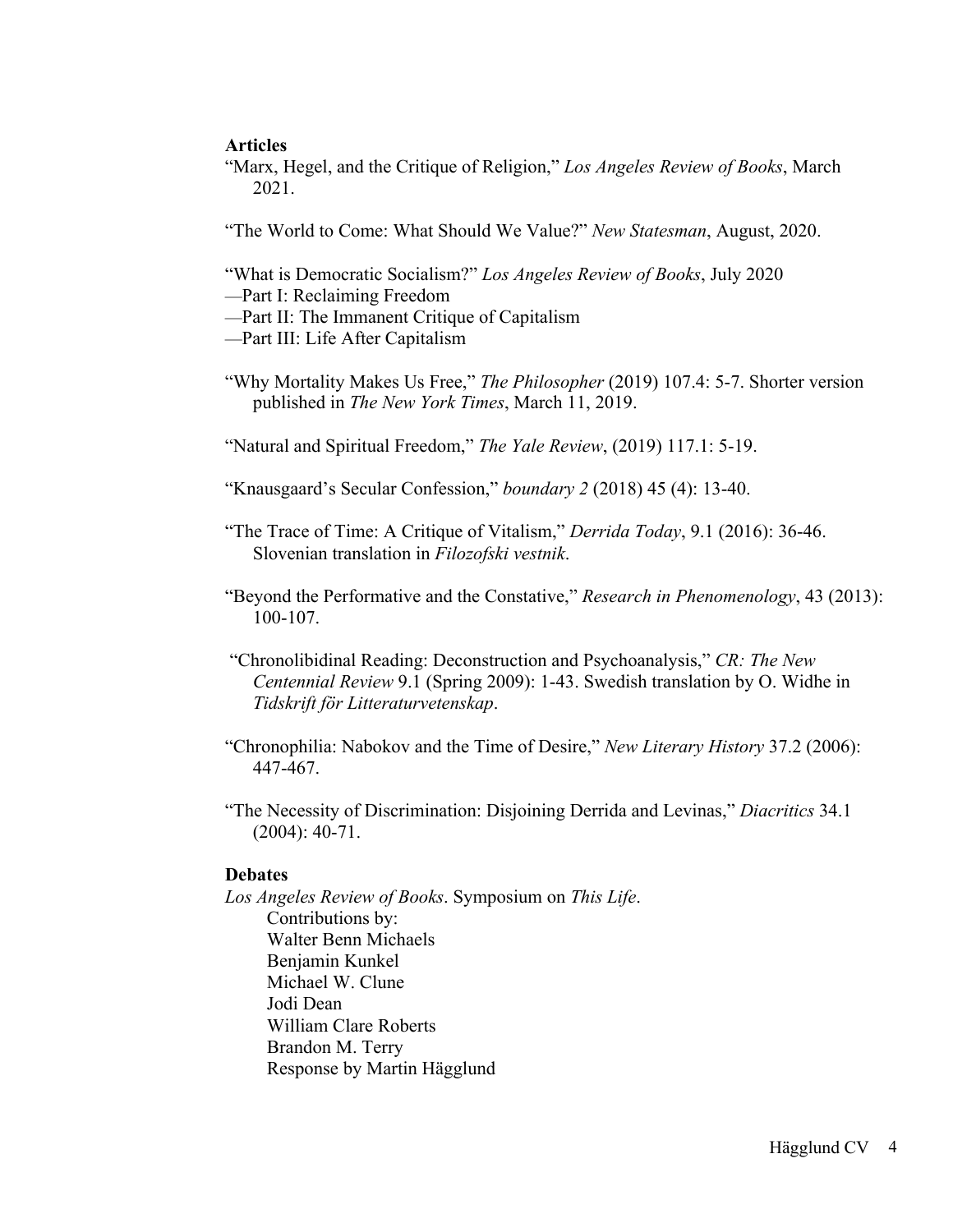# **Articles**

"Marx, Hegel, and the Critique of Religion," *Los Angeles Review of Books*, March 2021.

"The World to Come: What Should We Value?" *New Statesman*, August, 2020.

"What is Democratic Socialism?" *Los Angeles Review of Books*, July 2020

- —Part I: Reclaiming Freedom
- —Part II: The Immanent Critique of Capitalism
- —Part III: Life After Capitalism
- "Why Mortality Makes Us Free," *The Philosopher* (2019) 107.4: 5-7. Shorter version published in *The New York Times*, March 11, 2019.

"Natural and Spiritual Freedom," *The Yale Review*, (2019) 117.1: 5-19.

"Knausgaard's Secular Confession," *boundary 2* (2018) 45 (4): 13-40.

- "The Trace of Time: A Critique of Vitalism," *Derrida Today*, 9.1 (2016): 36-46. Slovenian translation in *Filozofski vestnik*.
- "Beyond the Performative and the Constative," *Research in Phenomenology*, 43 (2013): 100-107.
- "Chronolibidinal Reading: Deconstruction and Psychoanalysis," *CR: The New Centennial Review* 9.1 (Spring 2009): 1-43. Swedish translation by O. Widhe in *Tidskrift för Litteraturvetenskap*.
- "Chronophilia: Nabokov and the Time of Desire," *New Literary History* 37.2 (2006): 447-467.
- "The Necessity of Discrimination: Disjoining Derrida and Levinas," *Diacritics* 34.1 (2004): 40-71.

## **Debates**

*Los Angeles Review of Books*. Symposium on *This Life*. Contributions by: Walter Benn Michaels Benjamin Kunkel Michael W. Clune Jodi Dean William Clare Roberts Brandon M. Terry Response by Martin Hägglund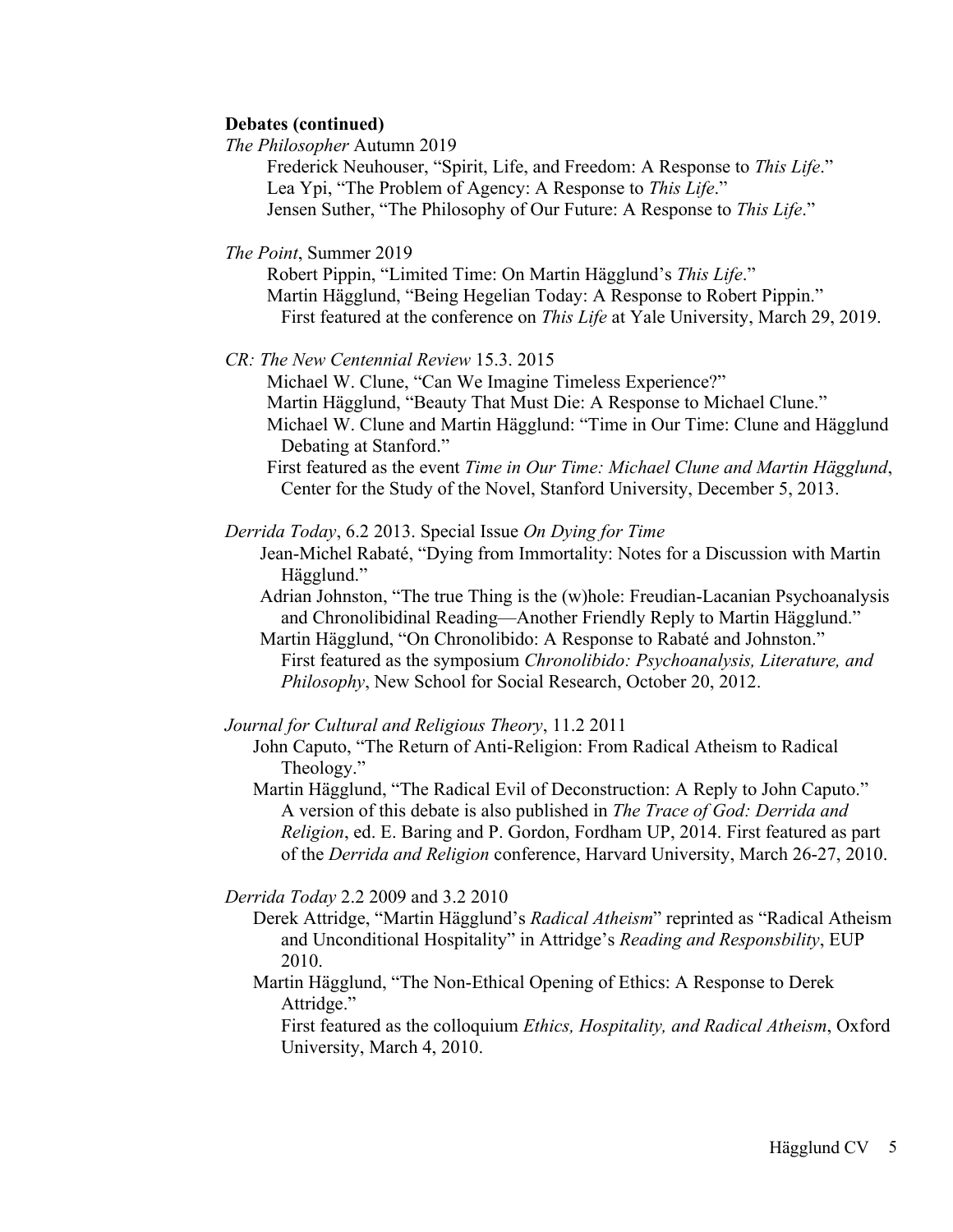# **Debates (continued)**

*The Philosopher* Autumn 2019

Frederick Neuhouser, "Spirit, Life, and Freedom: A Response to *This Life*." Lea Ypi, "The Problem of Agency: A Response to *This Life*." Jensen Suther, "The Philosophy of Our Future: A Response to *This Life*."

*The Point*, Summer 2019

Robert Pippin, "Limited Time: On Martin Hägglund's *This Life*." Martin Hägglund, "Being Hegelian Today: A Response to Robert Pippin." First featured at the conference on *This Life* at Yale University, March 29, 2019.

*CR: The New Centennial Review* 15.3. 2015

Michael W. Clune, "Can We Imagine Timeless Experience?" Martin Hägglund, "Beauty That Must Die: A Response to Michael Clune." Michael W. Clune and Martin Hägglund: "Time in Our Time: Clune and Hägglund Debating at Stanford."

First featured as the event *Time in Our Time: Michael Clune and Martin Hägglund*, Center for the Study of the Novel, Stanford University, December 5, 2013.

*Derrida Today*, 6.2 2013. Special Issue *On Dying for Time*

Jean-Michel Rabaté, "Dying from Immortality: Notes for a Discussion with Martin Hägglund."

Adrian Johnston, "The true Thing is the (w)hole: Freudian-Lacanian Psychoanalysis and Chronolibidinal Reading—Another Friendly Reply to Martin Hägglund."

Martin Hägglund, "On Chronolibido: A Response to Rabaté and Johnston." First featured as the symposium *Chronolibido: Psychoanalysis, Literature, and Philosophy*, New School for Social Research, October 20, 2012.

*Journal for Cultural and Religious Theory*, 11.2 2011

John Caputo, "The Return of Anti-Religion: From Radical Atheism to Radical Theology."

Martin Hägglund, "The Radical Evil of Deconstruction: A Reply to John Caputo." A version of this debate is also published in *The Trace of God: Derrida and Religion*, ed. E. Baring and P. Gordon, Fordham UP, 2014. First featured as part of the *Derrida and Religion* conference, Harvard University, March 26-27, 2010.

*Derrida Today* 2.2 2009 and 3.2 2010

Derek Attridge, "Martin Hägglund's *Radical Atheism*" reprinted as "Radical Atheism and Unconditional Hospitality" in Attridge's *Reading and Responsbility*, EUP 2010.

Martin Hägglund, "The Non-Ethical Opening of Ethics: A Response to Derek Attridge."

First featured as the colloquium *Ethics, Hospitality, and Radical Atheism*, Oxford University, March 4, 2010.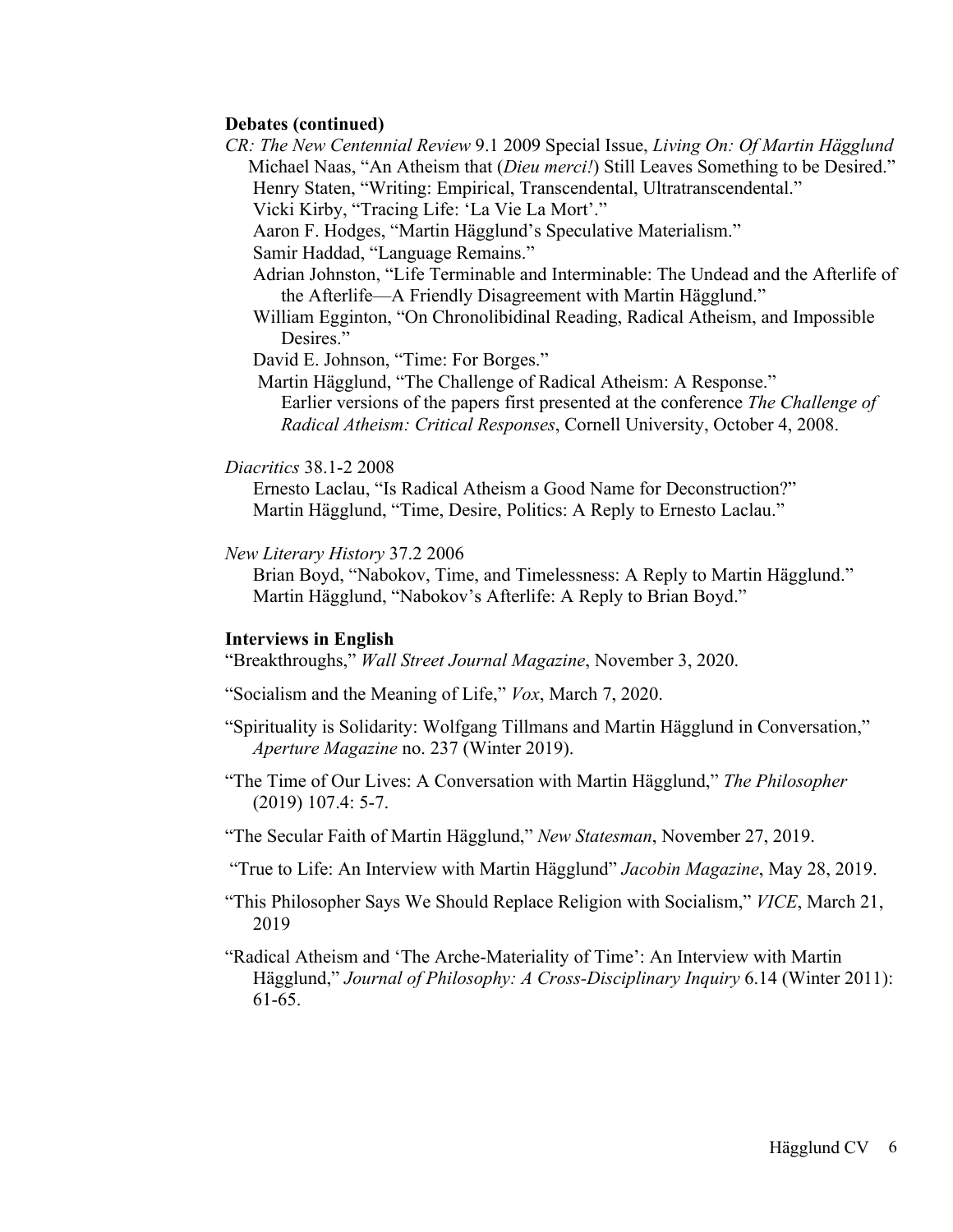### **Debates (continued)**

*CR: The New Centennial Review* 9.1 2009 Special Issue, *Living On: Of Martin Hägglund* Michael Naas, "An Atheism that (*Dieu merci!*) Still Leaves Something to be Desired." Henry Staten, "Writing: Empirical, Transcendental, Ultratranscendental."

Vicki Kirby, "Tracing Life: 'La Vie La Mort'."

Aaron F. Hodges, "Martin Hägglund's Speculative Materialism."

Samir Haddad, "Language Remains."

- Adrian Johnston, "Life Terminable and Interminable: The Undead and the Afterlife of the Afterlife—A Friendly Disagreement with Martin Hägglund."
- William Egginton, "On Chronolibidinal Reading, Radical Atheism, and Impossible Desires."

David E. Johnson, "Time: For Borges."

Martin Hägglund, "The Challenge of Radical Atheism: A Response." Earlier versions of the papers first presented at the conference *The Challenge of Radical Atheism: Critical Responses*, Cornell University, October 4, 2008.

#### *Diacritics* 38.1-2 2008

Ernesto Laclau, "Is Radical Atheism a Good Name for Deconstruction?" Martin Hägglund, "Time, Desire, Politics: A Reply to Ernesto Laclau."

*New Literary History* 37.2 2006

Brian Boyd, "Nabokov, Time, and Timelessness: A Reply to Martin Hägglund." Martin Hägglund, "Nabokov's Afterlife: A Reply to Brian Boyd."

#### **Interviews in English**

"Breakthroughs," *Wall Street Journal Magazine*, November 3, 2020.

"Socialism and the Meaning of Life," *Vox*, March 7, 2020.

- "Spirituality is Solidarity: Wolfgang Tillmans and Martin Hägglund in Conversation," *Aperture Magazine* no. 237 (Winter 2019).
- "The Time of Our Lives: A Conversation with Martin Hägglund," *The Philosopher* (2019) 107.4: 5-7.
- "The Secular Faith of Martin Hägglund," *New Statesman*, November 27, 2019.

"True to Life: An Interview with Martin Hägglund" *Jacobin Magazine*, May 28, 2019.

- "This Philosopher Says We Should Replace Religion with Socialism," *VICE*, March 21, 2019
- "Radical Atheism and 'The Arche-Materiality of Time': An Interview with Martin Hägglund," *Journal of Philosophy: A Cross-Disciplinary Inquiry* 6.14 (Winter 2011): 61-65.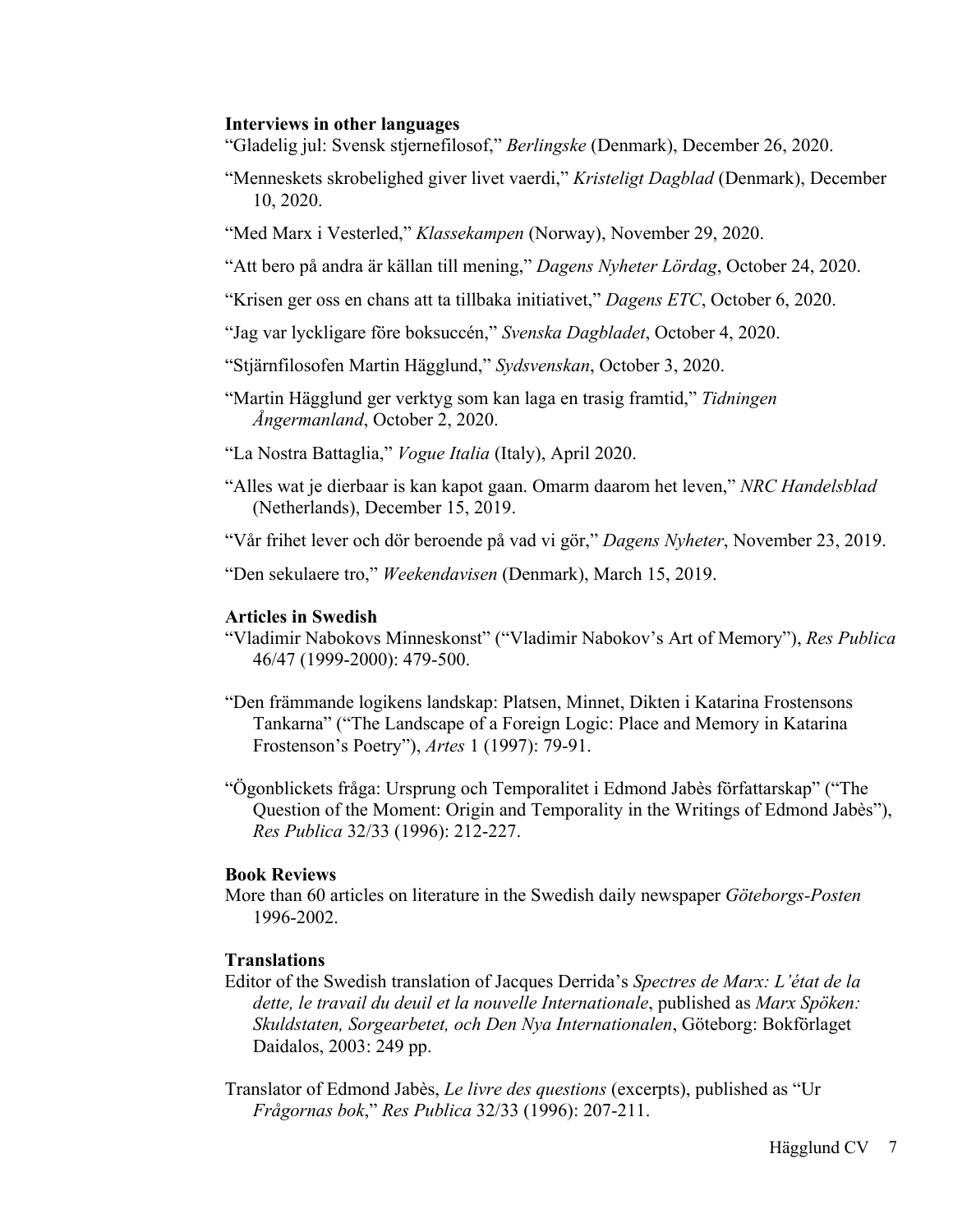### **Interviews in other languages**

- "Gladelig jul: Svensk stjernefilosof," *Berlingske* (Denmark), December 26, 2020.
- "Menneskets skrobelighed giver livet vaerdi," *Kristeligt Dagblad* (Denmark), December 10, 2020.
- "Med Marx i Vesterled," *Klassekampen* (Norway), November 29, 2020.
- "Att bero på andra är källan till mening," *Dagens Nyheter Lördag*, October 24, 2020.
- "Krisen ger oss en chans att ta tillbaka initiativet," *Dagens ETC*, October 6, 2020.
- "Jag var lyckligare före boksuccén," *Svenska Dagbladet*, October 4, 2020.
- "Stjärnfilosofen Martin Hägglund," *Sydsvenskan*, October 3, 2020.
- "Martin Hägglund ger verktyg som kan laga en trasig framtid," *Tidningen Ångermanland*, October 2, 2020.
- "La Nostra Battaglia," *Vogue Italia* (Italy), April 2020.
- "Alles wat je dierbaar is kan kapot gaan. Omarm daarom het leven," *NRC Handelsblad* (Netherlands), December 15, 2019.
- "Vår frihet lever och dör beroende på vad vi gör," *Dagens Nyheter*, November 23, 2019.
- "Den sekulaere tro," *Weekendavisen* (Denmark), March 15, 2019.

### **Articles in Swedish**

- "Vladimir Nabokovs Minneskonst" ("Vladimir Nabokov's Art of Memory"), *Res Publica* 46/47 (1999-2000): 479-500.
- "Den främmande logikens landskap: Platsen, Minnet, Dikten i Katarina Frostensons Tankarna" ("The Landscape of a Foreign Logic: Place and Memory in Katarina Frostenson's Poetry"), *Artes* 1 (1997): 79-91.
- "Ögonblickets fråga: Ursprung och Temporalitet i Edmond Jabès författarskap" ("The Question of the Moment: Origin and Temporality in the Writings of Edmond Jabès"), *Res Publica* 32/33 (1996): 212-227.

## **Book Reviews**

More than 60 articles on literature in the Swedish daily newspaper *Göteborgs-Posten* 1996-2002.

# **Translations**

- Editor of the Swedish translation of Jacques Derrida's *Spectres de Marx: L'état de la dette, le travail du deuil et la nouvelle Internationale*, published as *Marx Spöken: Skuldstaten, Sorgearbetet, och Den Nya Internationalen*, Göteborg: Bokförlaget Daidalos, 2003: 249 pp.
- Translator of Edmond Jabès, *Le livre des questions* (excerpts), published as "Ur *Frågornas bok*," *Res Publica* 32/33 (1996): 207-211.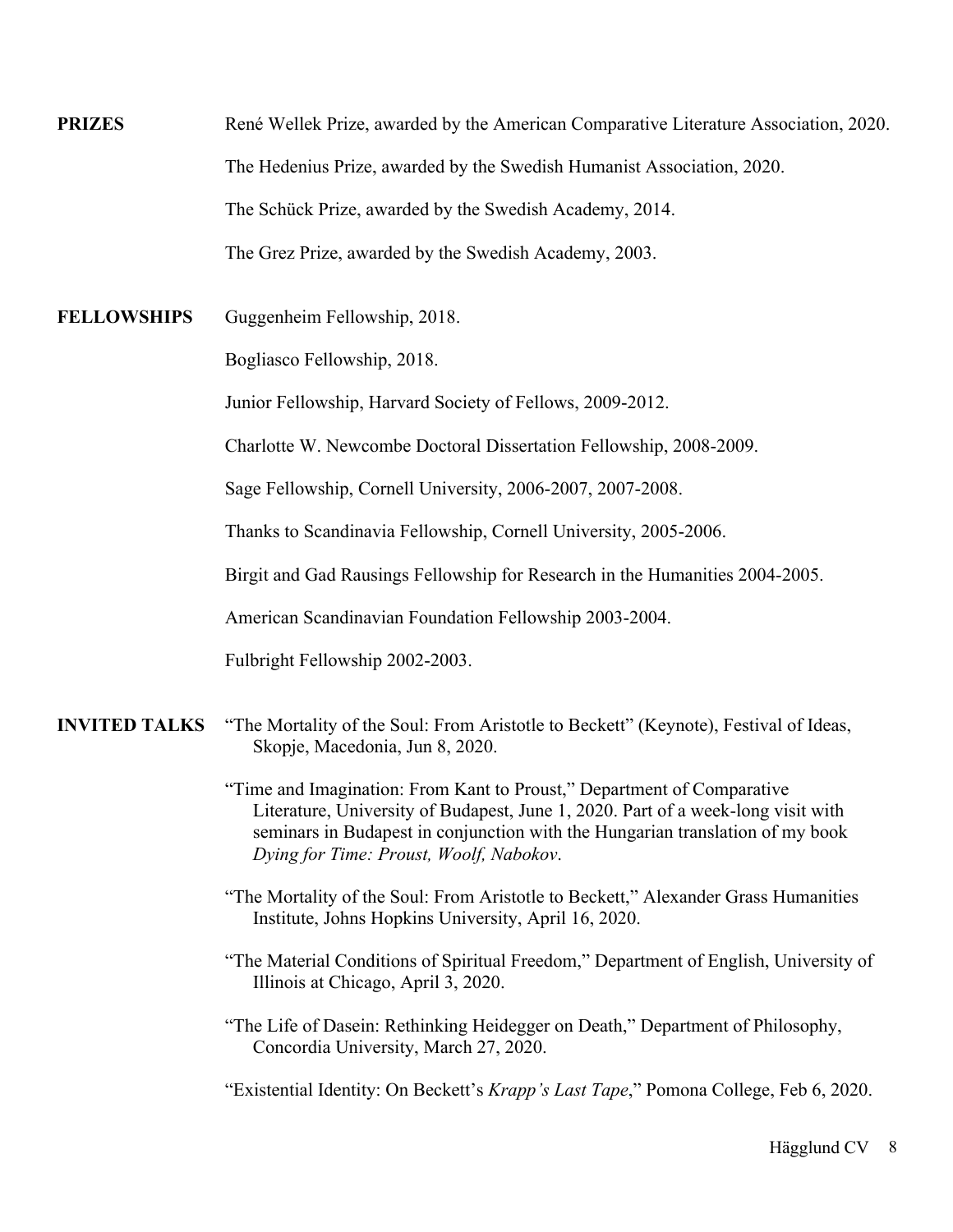**PRIZES** René Wellek Prize, awarded by the American Comparative Literature Association, 2020. The Hedenius Prize, awarded by the Swedish Humanist Association, 2020. The Schück Prize, awarded by the Swedish Academy, 2014. The Grez Prize, awarded by the Swedish Academy, 2003.

**FELLOWSHIPS** Guggenheim Fellowship, 2018.

Bogliasco Fellowship, 2018.

Junior Fellowship, Harvard Society of Fellows, 2009-2012.

Charlotte W. Newcombe Doctoral Dissertation Fellowship, 2008-2009.

Sage Fellowship, Cornell University, 2006-2007, 2007-2008.

Thanks to Scandinavia Fellowship, Cornell University, 2005-2006.

Birgit and Gad Rausings Fellowship for Research in the Humanities 2004-2005.

American Scandinavian Foundation Fellowship 2003-2004.

Fulbright Fellowship 2002-2003.

- **INVITED TALKS** "The Mortality of the Soul: From Aristotle to Beckett" (Keynote), Festival of Ideas, Skopje, Macedonia, Jun 8, 2020.
	- "Time and Imagination: From Kant to Proust," Department of Comparative Literature, University of Budapest, June 1, 2020. Part of a week-long visit with seminars in Budapest in conjunction with the Hungarian translation of my book *Dying for Time: Proust, Woolf, Nabokov*.
	- "The Mortality of the Soul: From Aristotle to Beckett," Alexander Grass Humanities Institute, Johns Hopkins University, April 16, 2020.
	- "The Material Conditions of Spiritual Freedom," Department of English, University of Illinois at Chicago, April 3, 2020.
	- "The Life of Dasein: Rethinking Heidegger on Death," Department of Philosophy, Concordia University, March 27, 2020.

"Existential Identity: On Beckett's *Krapp's Last Tape*," Pomona College, Feb 6, 2020.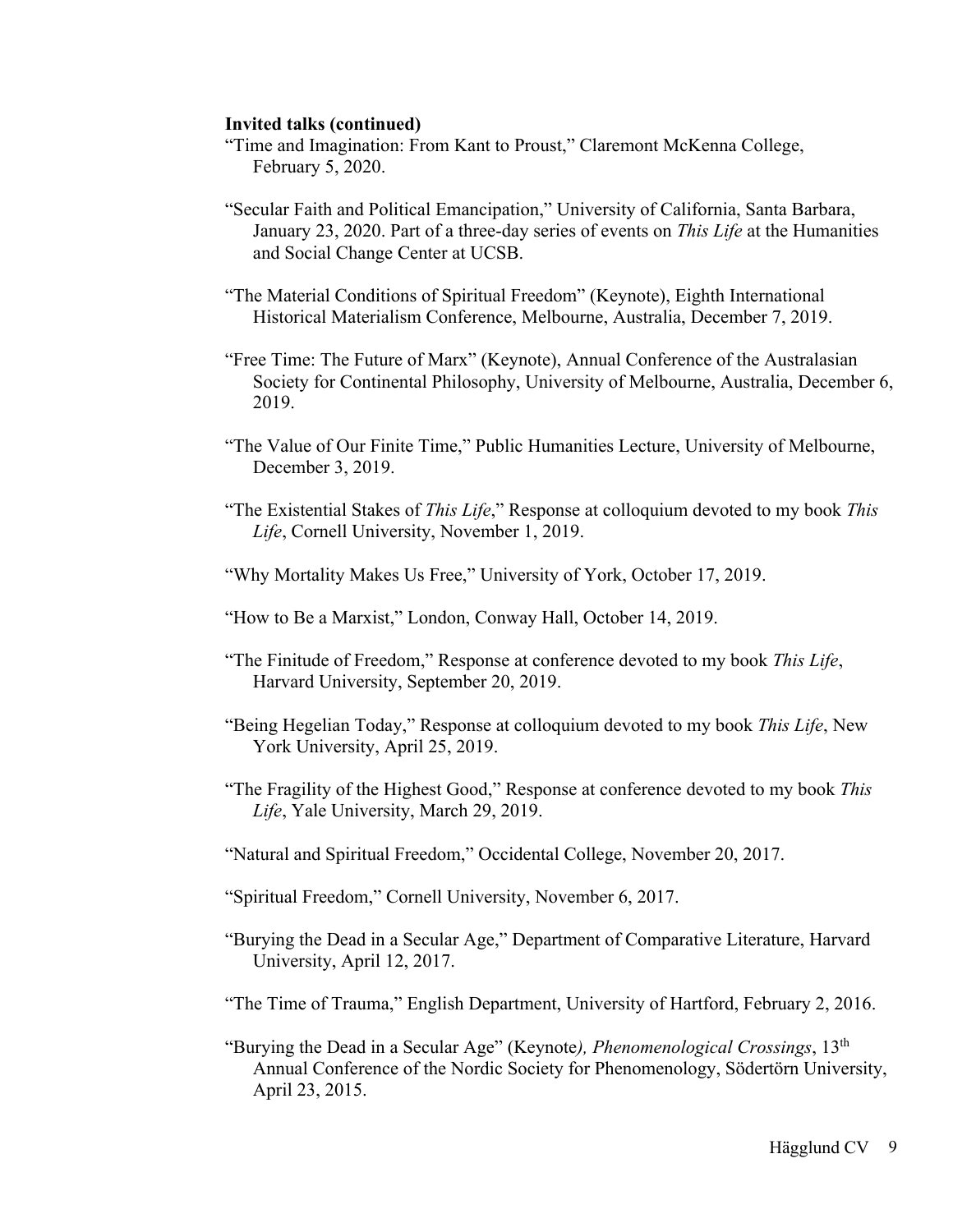- "Time and Imagination: From Kant to Proust," Claremont McKenna College, February 5, 2020.
- "Secular Faith and Political Emancipation," University of California, Santa Barbara, January 23, 2020. Part of a three-day series of events on *This Life* at the Humanities and Social Change Center at UCSB.
- "The Material Conditions of Spiritual Freedom" (Keynote), Eighth International Historical Materialism Conference, Melbourne, Australia, December 7, 2019.
- "Free Time: The Future of Marx" (Keynote), Annual Conference of the Australasian Society for Continental Philosophy, University of Melbourne, Australia, December 6, 2019.
- "The Value of Our Finite Time," Public Humanities Lecture, University of Melbourne, December 3, 2019.
- "The Existential Stakes of *This Life*," Response at colloquium devoted to my book *This Life*, Cornell University, November 1, 2019.
- "Why Mortality Makes Us Free," University of York, October 17, 2019.
- "How to Be a Marxist," London, Conway Hall, October 14, 2019.
- "The Finitude of Freedom," Response at conference devoted to my book *This Life*, Harvard University, September 20, 2019.
- "Being Hegelian Today," Response at colloquium devoted to my book *This Life*, New York University, April 25, 2019.
- "The Fragility of the Highest Good," Response at conference devoted to my book *This Life*, Yale University, March 29, 2019.
- "Natural and Spiritual Freedom," Occidental College, November 20, 2017.
- "Spiritual Freedom," Cornell University, November 6, 2017.
- "Burying the Dead in a Secular Age," Department of Comparative Literature, Harvard University, April 12, 2017.
- "The Time of Trauma," English Department, University of Hartford, February 2, 2016.
- "Burying the Dead in a Secular Age" (Keynote*), Phenomenological Crossings*, 13th Annual Conference of the Nordic Society for Phenomenology, Södertörn University, April 23, 2015.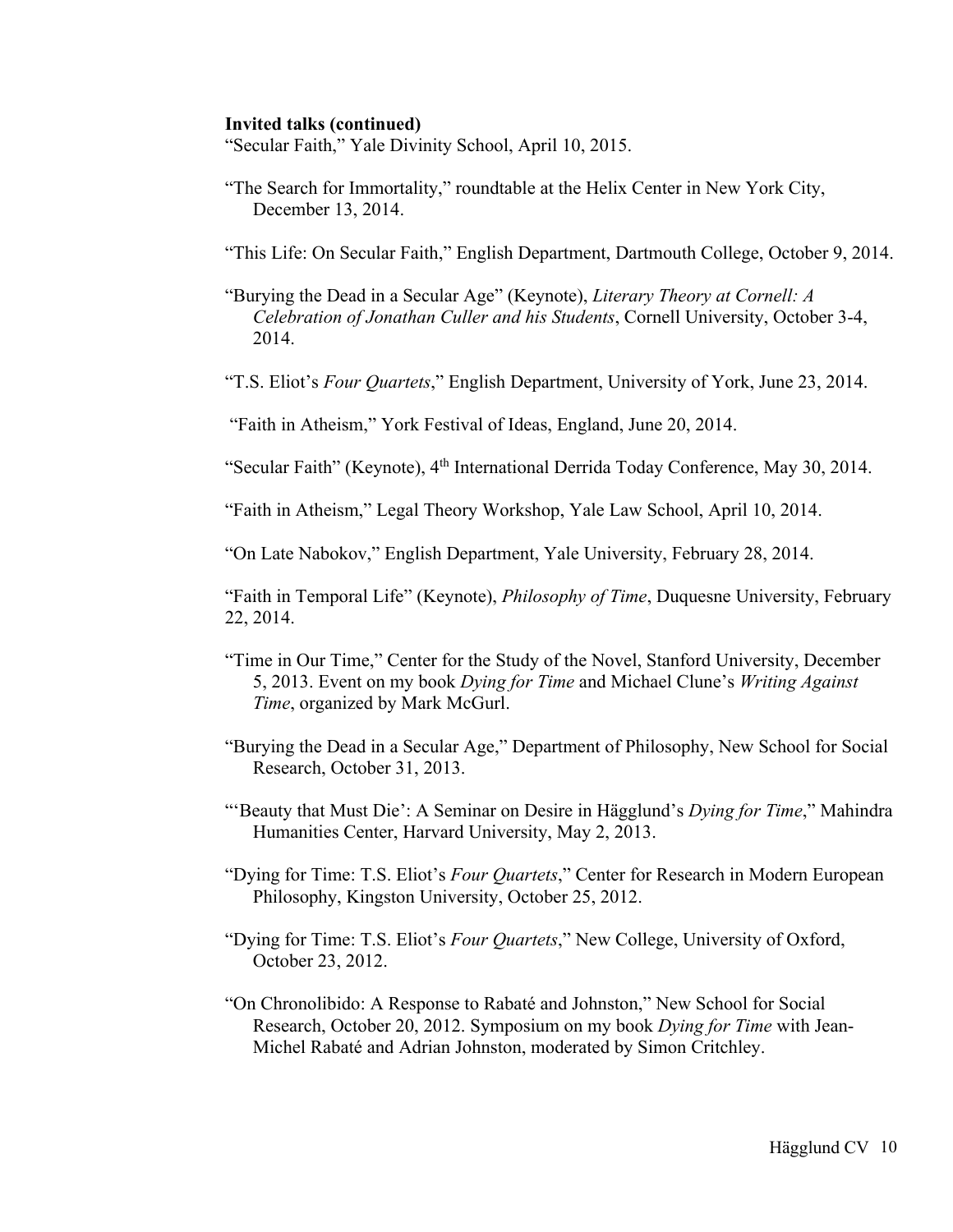"Secular Faith," Yale Divinity School, April 10, 2015.

"The Search for Immortality," roundtable at the Helix Center in New York City, December 13, 2014.

"This Life: On Secular Faith," English Department, Dartmouth College, October 9, 2014.

 "Burying the Dead in a Secular Age" (Keynote), *Literary Theory at Cornell: A Celebration of Jonathan Culler and his Students*, Cornell University, October 3-4, 2014.

"T.S. Eliot's *Four Quartets*," English Department, University of York, June 23, 2014.

"Faith in Atheism," York Festival of Ideas, England, June 20, 2014.

"Secular Faith" (Keynote), 4<sup>th</sup> International Derrida Today Conference, May 30, 2014.

"Faith in Atheism," Legal Theory Workshop, Yale Law School, April 10, 2014.

"On Late Nabokov," English Department, Yale University, February 28, 2014.

"Faith in Temporal Life" (Keynote), *Philosophy of Time*, Duquesne University, February 22, 2014.

- "Time in Our Time," Center for the Study of the Novel, Stanford University, December 5, 2013. Event on my book *Dying for Time* and Michael Clune's *Writing Against Time*, organized by Mark McGurl.
- "Burying the Dead in a Secular Age," Department of Philosophy, New School for Social Research, October 31, 2013.
- "'Beauty that Must Die': A Seminar on Desire in Hägglund's *Dying for Time*," Mahindra Humanities Center, Harvard University, May 2, 2013.
- "Dying for Time: T.S. Eliot's *Four Quartets*," Center for Research in Modern European Philosophy, Kingston University, October 25, 2012.
- "Dying for Time: T.S. Eliot's *Four Quartets*," New College, University of Oxford, October 23, 2012.
- "On Chronolibido: A Response to Rabaté and Johnston," New School for Social Research, October 20, 2012. Symposium on my book *Dying for Time* with Jean-Michel Rabaté and Adrian Johnston, moderated by Simon Critchley.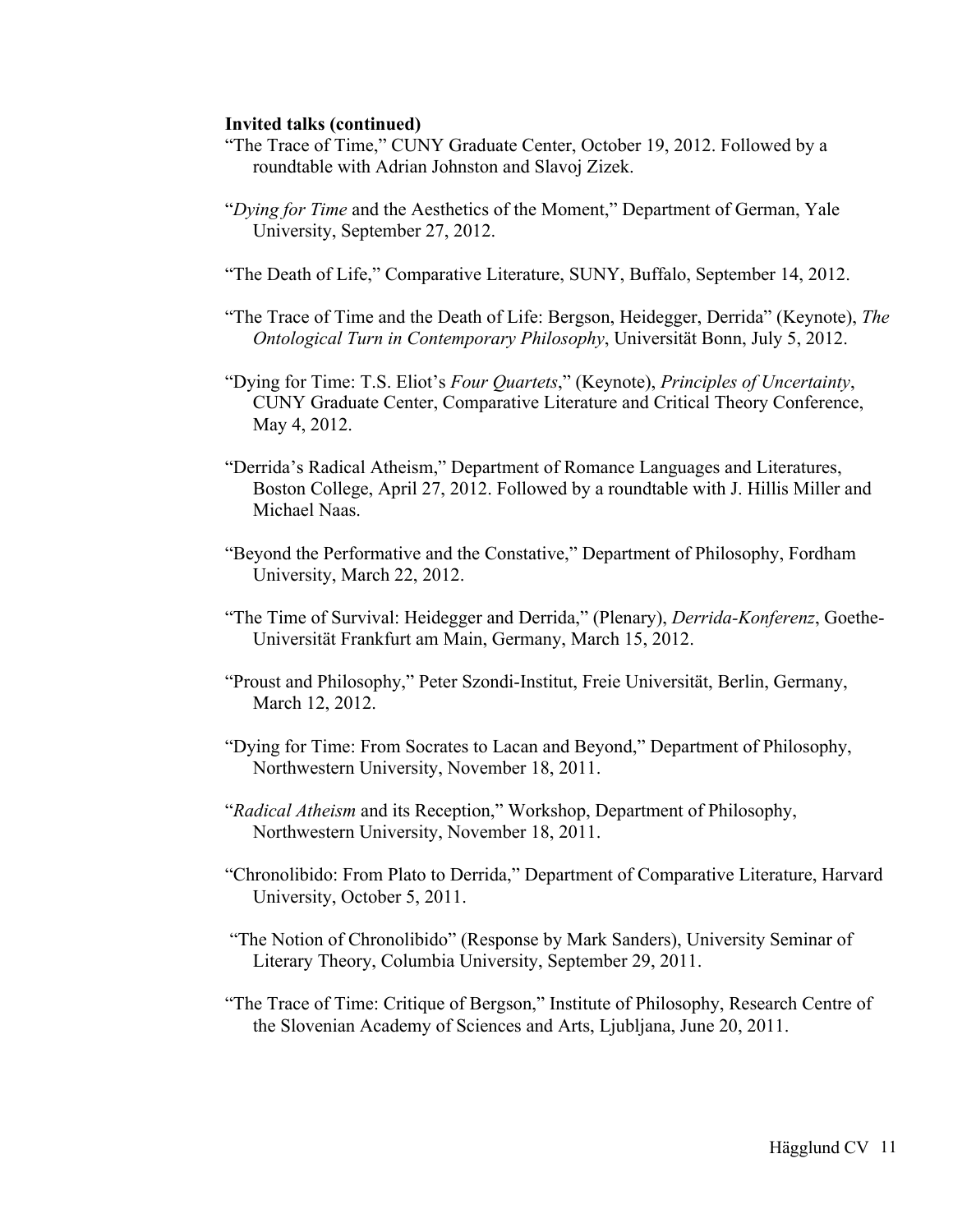- "The Trace of Time," CUNY Graduate Center, October 19, 2012. Followed by a roundtable with Adrian Johnston and Slavoj Zizek.
- "*Dying for Time* and the Aesthetics of the Moment," Department of German, Yale University, September 27, 2012.
- "The Death of Life," Comparative Literature, SUNY, Buffalo, September 14, 2012.
- "The Trace of Time and the Death of Life: Bergson, Heidegger, Derrida" (Keynote), *The Ontological Turn in Contemporary Philosophy*, Universität Bonn, July 5, 2012.
- "Dying for Time: T.S. Eliot's *Four Quartets*," (Keynote), *Principles of Uncertainty*, CUNY Graduate Center, Comparative Literature and Critical Theory Conference, May 4, 2012.
- "Derrida's Radical Atheism," Department of Romance Languages and Literatures, Boston College, April 27, 2012. Followed by a roundtable with J. Hillis Miller and Michael Naas.
- "Beyond the Performative and the Constative," Department of Philosophy, Fordham University, March 22, 2012.
- "The Time of Survival: Heidegger and Derrida," (Plenary), *Derrida-Konferenz*, Goethe-Universität Frankfurt am Main, Germany, March 15, 2012.
- "Proust and Philosophy," Peter Szondi-Institut, Freie Universität, Berlin, Germany, March 12, 2012.
- "Dying for Time: From Socrates to Lacan and Beyond," Department of Philosophy, Northwestern University, November 18, 2011.
- "*Radical Atheism* and its Reception," Workshop, Department of Philosophy, Northwestern University, November 18, 2011.
- "Chronolibido: From Plato to Derrida," Department of Comparative Literature, Harvard University, October 5, 2011.
- "The Notion of Chronolibido" (Response by Mark Sanders), University Seminar of Literary Theory, Columbia University, September 29, 2011.
- "The Trace of Time: Critique of Bergson," Institute of Philosophy, Research Centre of the Slovenian Academy of Sciences and Arts, Ljubljana, June 20, 2011.